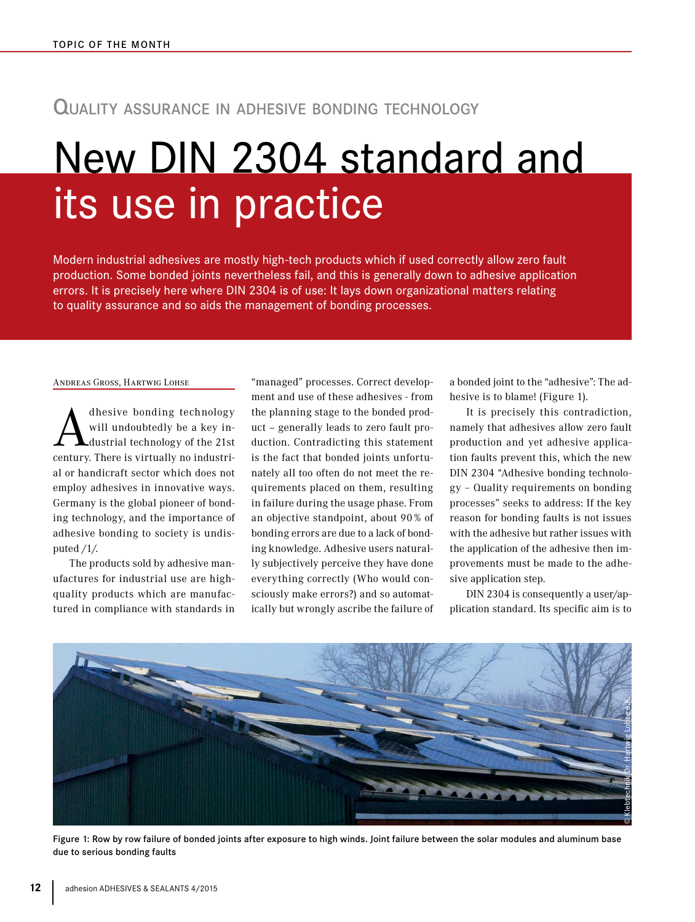## Quality assurance in adhesive bonding technology

# New DIN 2304 standard and its use in practice

Modern industrial adhesives are mostly high-tech products which if used correctly allow zero fault production. Some bonded joints nevertheless fail, and this is generally down to adhesive application errors. It is precisely here where DIN 2304 is of use: It lays down organizational matters relating to quality assurance and so aids the management of bonding processes.

#### ANDREAS GROSS, HARTWIG LOHSE

dhesive bonding technology will undoubtedly be a key industrial technology of the 21st century. There is virtually no industrial or handicraft sector which does not employ adhesives in innovative ways. Germany is the global pioneer of bonding technology, and the importance of adhesive bonding to society is undisputed /1/.

The products sold by adhesive manufactures for industrial use are highquality products which are manufactured in compliance with standards in

"managed" processes. Correct development and use of these adhesives - from the planning stage to the bonded product – generally leads to zero fault production. Contradicting this statement is the fact that bonded joints unfortunately all too often do not meet the requirements placed on them, resulting in failure during the usage phase. From an objective standpoint, about 90 % of bonding errors are due to a lack of bonding knowledge. Adhesive users naturally subjectively perceive they have done everything correctly (Who would consciously make errors?) and so automatically but wrongly ascribe the failure of a bonded joint to the "adhesive": The adhesive is to blame! (Figure 1).

It is precisely this contradiction, namely that adhesives allow zero fault production and yet adhesive application faults prevent this, which the new DIN 2304 "Adhesive bonding technology – Quality requirements on bonding processes" seeks to address: If the key reason for bonding faults is not issues with the adhesive but rather issues with the application of the adhesive then improvements must be made to the adhesive application step.

DIN 2304 is consequently a user/application standard. Its specific aim is to



Figure 1: Row by row failure of bonded joints after exposure to high winds. Joint failure between the solar modules and aluminum base due to serious bonding faults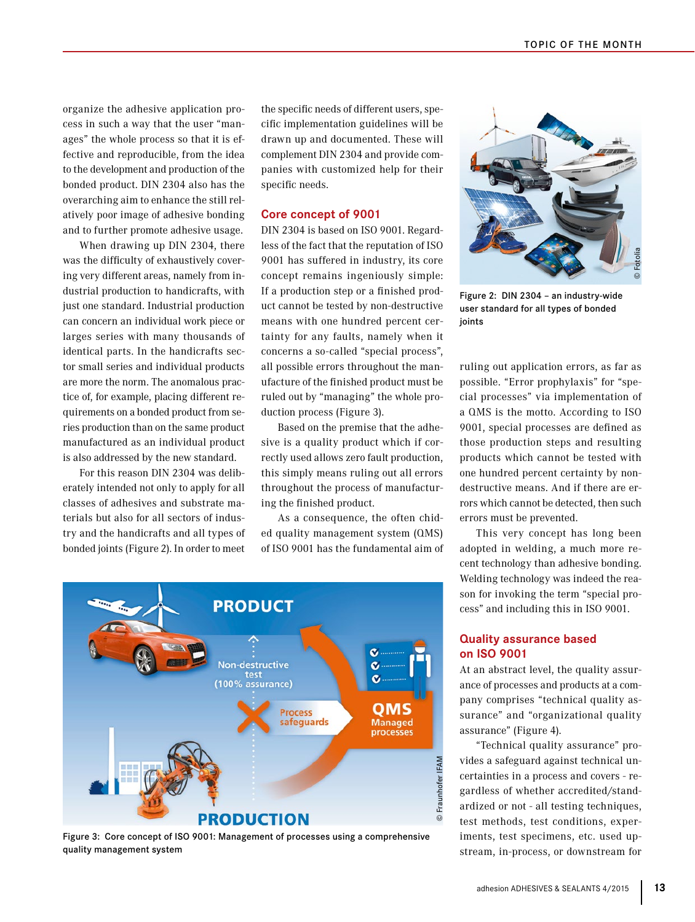organize the adhesive application process in such a way that the user "manages" the whole process so that it is effective and reproducible, from the idea to the development and production of the bonded product. DIN 2304 also has the overarching aim to enhance the still relatively poor image of adhesive bonding and to further promote adhesive usage.

When drawing up DIN 2304, there was the difficulty of exhaustively covering very different areas, namely from industrial production to handicrafts, with just one standard. Industrial production can concern an individual work piece or larges series with many thousands of identical parts. In the handicrafts sector small series and individual products are more the norm. The anomalous practice of, for example, placing different requirements on a bonded product from series production than on the same product manufactured as an individual product is also addressed by the new standard.

For this reason DIN 2304 was deliberately intended not only to apply for all classes of adhesives and substrate materials but also for all sectors of industry and the handicrafts and all types of bonded joints (Figure 2). In order to meet

the specific needs of different users, specific implementation guidelines will be drawn up and documented. These will complement DIN 2304 and provide companies with customized help for their specific needs.

#### **Core concept of 9001**

DIN 2304 is based on ISO 9001. Regardless of the fact that the reputation of ISO 9001 has suffered in industry, its core concept remains ingeniously simple: If a production step or a finished product cannot be tested by non-destructive means with one hundred percent certainty for any faults, namely when it concerns a so-called "special process", all possible errors throughout the manufacture of the finished product must be ruled out by "managing" the whole production process (Figure 3).

Based on the premise that the adhesive is a quality product which if correctly used allows zero fault production, this simply means ruling out all errors throughout the process of manufacturing the finished product.

As a consequence, the often chided quality management system (QMS) of ISO 9001 has the fundamental aim of



Figure 3: Core concept of ISO 9001: Management of processes using a comprehensive quality management system



Figure 2: DIN 2304 – an industry-wide user standard for all types of bonded ioints

ruling out application errors, as far as possible. "Error prophylaxis" for "special processes" via implementation of a QMS is the motto. According to ISO 9001, special processes are defined as those production steps and resulting products which cannot be tested with one hundred percent certainty by nondestructive means. And if there are errors which cannot be detected, then such errors must be prevented. Figure 2: DIN 2304 - an industry-wide<br>user standard for all types of bonded<br>joints<br>ruling out application errors, as far as<br>possible. "Error prophylaxis" for "spe-<br>cial processes" via implementation of<br>a QMS is the motto.

This very concept has long been adopted in welding, a much more recent technology than adhesive bonding. Welding technology was indeed the reason for invoking the term "special process" and including this in ISO 9001.

## **Quality assurance based on ISO 9001**

At an abstract level, the quality assurance of processes and products at a company comprises "technical quality assurance" and "organizational quality assurance" (Figure 4).

"Technical quality assurance" provides a safeguard against technical uncertainties in a process and covers - regardless of whether accredited/standardized or not - all testing techniques, test methods, test conditions, experiments, test specimens, etc. used up-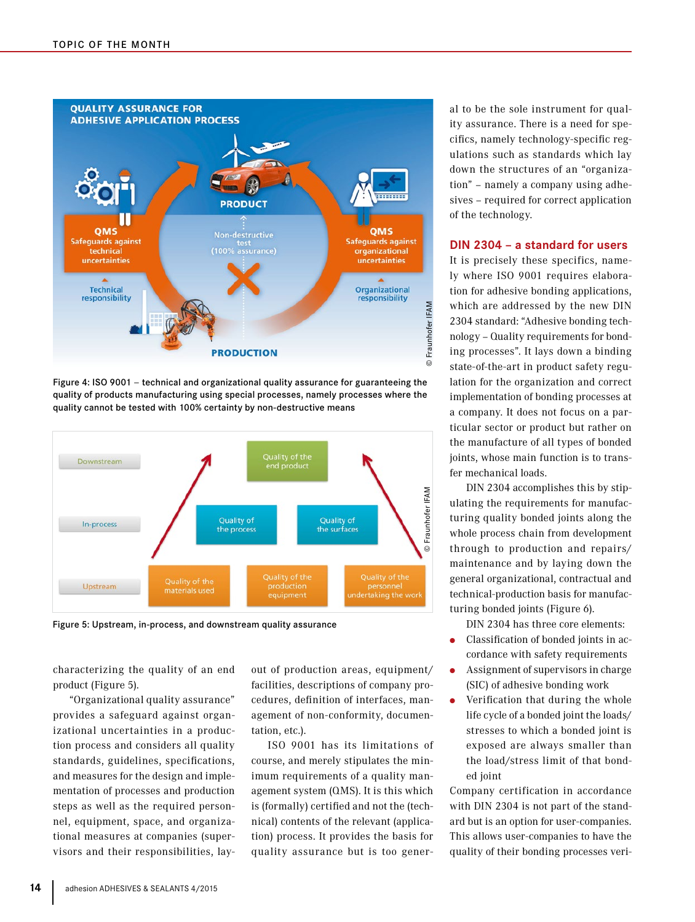

Figure 4: ISO 9001 – technical and organizational quality assurance for guaranteeing the quality of products manufacturing using special processes, namely processes where the quality cannot be tested with 100% certainty by non-destructive means



Figure 5: Upstream, in-process, and downstream quality assurance

characterizing the quality of an end product (Figure 5).

"Organizational quality assurance" provides a safeguard against organizational uncertainties in a production process and considers all quality standards, guidelines, specifications, and measures for the design and implementation of processes and production steps as well as the required personnel, equipment, space, and organizational measures at companies (supervisors and their responsibilities, layout of production areas, equipment/ facilities, descriptions of company procedures, definition of interfaces, management of non-conformity, documentation, etc.).

ISO 9001 has its limitations of course, and merely stipulates the minimum requirements of a quality management system (QMS). It is this which is (formally) certified and not the (technical) contents of the relevant (application) process. It provides the basis for quality assurance but is too general to be the sole instrument for quality assurance. There is a need for specifics, namely technology-specific regulations such as standards which lay down the structures of an "organization" – namely a company using adhesives – required for correct application of the technology.

#### **DIN 2304 – a standard for users**

It is precisely these specifics, namely where ISO 9001 requires elaboration for adhesive bonding applications, which are addressed by the new DIN 2304 standard: "Adhesive bonding technology – Quality requirements for bonding processes". It lays down a binding state-of-the-art in product safety regulation for the organization and correct implementation of bonding processes at a company. It does not focus on a particular sector or product but rather on the manufacture of all types of bonded joints, whose main function is to transfer mechanical loads.

DIN 2304 accomplishes this by stipulating the requirements for manufacturing quality bonded joints along the whole process chain from development through to production and repairs/ maintenance and by laying down the general organizational, contractual and technical-production basis for manufacturing bonded joints (Figure 6).

DIN 2304 has three core elements:

- Classification of bonded joints in accordance with safety requirements
- Assignment of supervisors in charge (SIC) of adhesive bonding work
- Verification that during the whole life cycle of a bonded joint the loads/ stresses to which a bonded joint is exposed are always smaller than the load/stress limit of that bonded joint

Company certification in accordance with DIN 2304 is not part of the standard but is an option for user-companies. This allows user-companies to have the quality of their bonding processes veri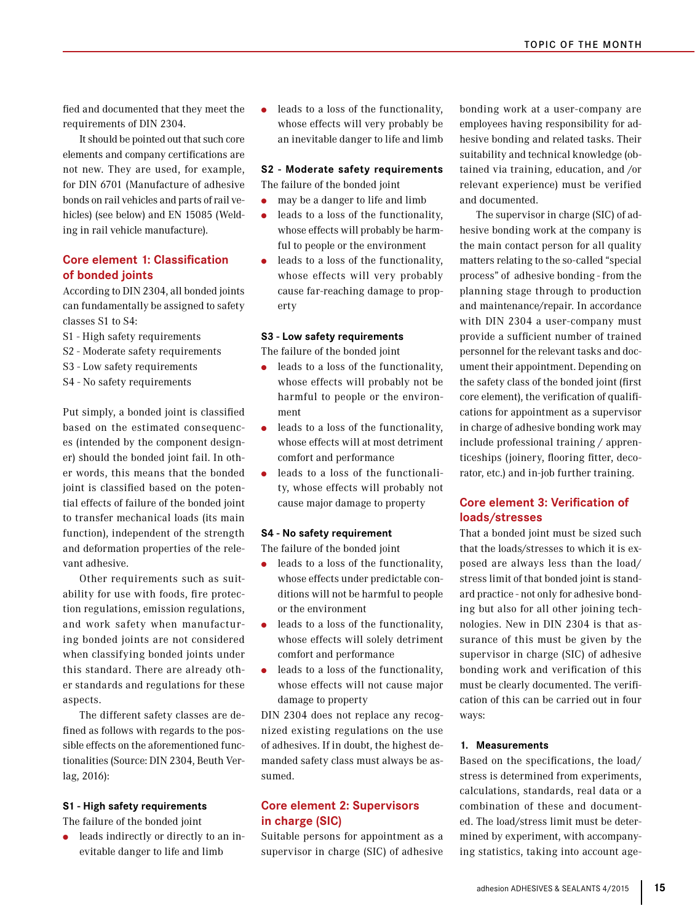fied and documented that they meet the requirements of DIN 2304.

It should be pointed out that such core elements and company certifications are not new. They are used, for example, for DIN 6701 (Manufacture of adhesive bonds on rail vehicles and parts of rail vehicles) (see below) and EN 15085 (Welding in rail vehicle manufacture).

## **Core element 1: Classification of bonded joints**

According to DIN 2304, all bonded joints can fundamentally be assigned to safety classes S1 to S4:

- S1 High safety requirements
- S2 Moderate safety requirements
- S3 Low safety requirements
- S4 No safety requirements

Put simply, a bonded joint is classified based on the estimated consequences (intended by the component designer) should the bonded joint fail. In other words, this means that the bonded joint is classified based on the potential effects of failure of the bonded joint to transfer mechanical loads (its main function), independent of the strength and deformation properties of the relevant adhesive.

Other requirements such as suitability for use with foods, fire protection regulations, emission regulations, and work safety when manufacturing bonded joints are not considered when classifying bonded joints under this standard. There are already other standards and regulations for these aspects.

The different safety classes are defined as follows with regards to the possible effects on the aforementioned functionalities (Source: DIN 2304, Beuth Verlag, 2016):

## **S1 - High safety requirements**

The failure of the bonded joint

leads indirectly or directly to an inevitable danger to life and limb

● leads to a loss of the functionality, whose effects will very probably be an inevitable danger to life and limb

#### **S2 - Moderate safety requirements**

The failure of the bonded joint ● may be a danger to life and limb

- leads to a loss of the functionality, whose effects will probably be harmful to people or the environment
- leads to a loss of the functionality, whose effects will very probably cause far-reaching damage to property

#### **S3 - Low safety requirements**

The failure of the bonded joint

- leads to a loss of the functionality, whose effects will probably not be harmful to people or the environment
- leads to a loss of the functionality, whose effects will at most detriment comfort and performance
- leads to a loss of the functionality, whose effects will probably not cause major damage to property

#### **S4 - No safety requirement**

The failure of the bonded joint

- leads to a loss of the functionality, whose effects under predictable conditions will not be harmful to people or the environment
- leads to a loss of the functionality, whose effects will solely detriment comfort and performance
- leads to a loss of the functionality, whose effects will not cause major damage to property

DIN 2304 does not replace any recognized existing regulations on the use of adhesives. If in doubt, the highest demanded safety class must always be assumed.

## **Core element 2: Supervisors in charge (SIC)**

Suitable persons for appointment as a supervisor in charge (SIC) of adhesive

bonding work at a user-company are employees having responsibility for adhesive bonding and related tasks. Their suitability and technical knowledge (obtained via training, education, and /or relevant experience) must be verified and documented.

The supervisor in charge (SIC) of adhesive bonding work at the company is the main contact person for all quality matters relating to the so-called "special process" of adhesive bonding - from the planning stage through to production and maintenance/repair. In accordance with DIN 2304 a user-company must provide a sufficient number of trained personnel for the relevant tasks and document their appointment. Depending on the safety class of the bonded joint (first core element), the verification of qualifications for appointment as a supervisor in charge of adhesive bonding work may include professional training / apprenticeships (joinery, flooring fitter, decorator, etc.) and in-job further training.

## **Core element 3: Verification of loads/stresses**

That a bonded joint must be sized such that the loads/stresses to which it is exposed are always less than the load/ stress limit of that bonded joint is standard practice - not only for adhesive bonding but also for all other joining technologies. New in DIN 2304 is that assurance of this must be given by the supervisor in charge (SIC) of adhesive bonding work and verification of this must be clearly documented. The verification of this can be carried out in four ways:

#### **1. Measurements**

Based on the specifications, the load/ stress is determined from experiments, calculations, standards, real data or a combination of these and documented. The load/stress limit must be determined by experiment, with accompanying statistics, taking into account age-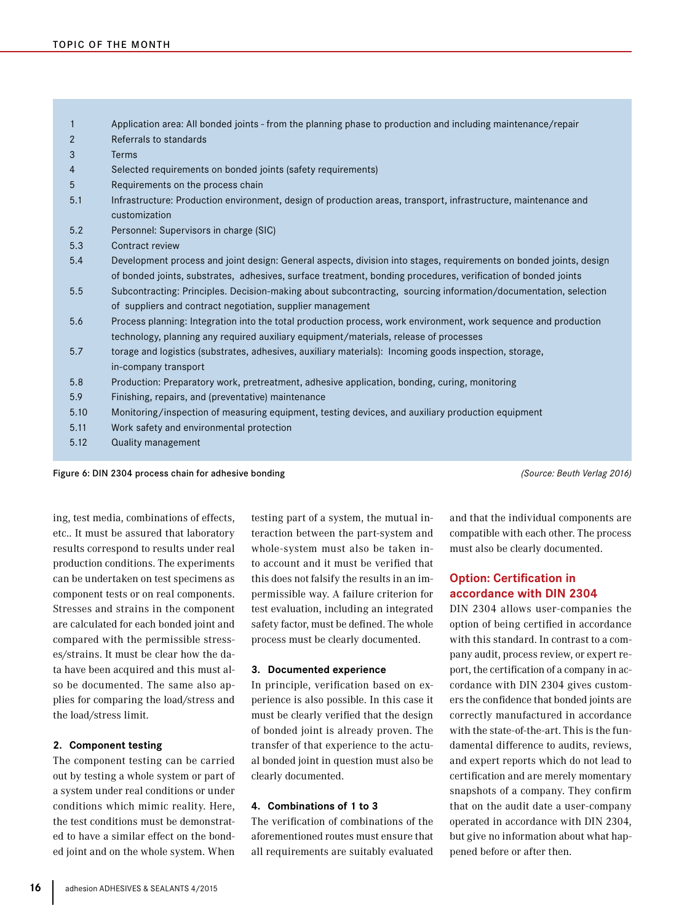|      | Application area: All bonded joints - from the planning phase to production and including maintenance/repair                                                                  |
|------|-------------------------------------------------------------------------------------------------------------------------------------------------------------------------------|
| 2    | Referrals to standards                                                                                                                                                        |
| 3    | <b>Terms</b>                                                                                                                                                                  |
| 4    | Selected requirements on bonded joints (safety requirements)                                                                                                                  |
| 5    | Requirements on the process chain                                                                                                                                             |
| 5.1  | Infrastructure: Production environment, design of production areas, transport, infrastructure, maintenance and<br>customization                                               |
| 5.2  | Personnel: Supervisors in charge (SIC)                                                                                                                                        |
| 5.3  | Contract review                                                                                                                                                               |
| 5.4  | Development process and joint design: General aspects, division into stages, requirements on bonded joints, design                                                            |
|      | of bonded joints, substrates, adhesives, surface treatment, bonding procedures, verification of bonded joints                                                                 |
| 5.5  | Subcontracting: Principles. Decision-making about subcontracting, sourcing information/documentation, selection<br>of suppliers and contract negotiation, supplier management |
| 5.6  | Process planning: Integration into the total production process, work environment, work sequence and production                                                               |
|      | technology, planning any required auxiliary equipment/materials, release of processes                                                                                         |
| 5.7  | torage and logistics (substrates, adhesives, auxiliary materials): Incoming goods inspection, storage,                                                                        |
|      | in-company transport                                                                                                                                                          |
| 5.8  | Production: Preparatory work, pretreatment, adhesive application, bonding, curing, monitoring                                                                                 |
| 5.9  | Finishing, repairs, and (preventative) maintenance                                                                                                                            |
| 5.10 | Monitoring/inspection of measuring equipment, testing devices, and auxiliary production equipment                                                                             |
| 5.11 | Work safety and environmental protection                                                                                                                                      |
| 5.12 | Quality management                                                                                                                                                            |
|      |                                                                                                                                                                               |

Figure 6: DIN 2304 process chain for adhesive bonding *(Source: Beuth Verlag 2016)*

ing, test media, combinations of effects, etc.. It must be assured that laboratory results correspond to results under real production conditions. The experiments can be undertaken on test specimens as component tests or on real components. Stresses and strains in the component are calculated for each bonded joint and compared with the permissible stresses/strains. It must be clear how the data have been acquired and this must also be documented. The same also applies for comparing the load/stress and the load/stress limit.

## **2. Component testing**

The component testing can be carried out by testing a whole system or part of a system under real conditions or under conditions which mimic reality. Here, the test conditions must be demonstrated to have a similar effect on the bonded joint and on the whole system. When testing part of a system, the mutual interaction between the part-system and whole-system must also be taken into account and it must be verified that this does not falsify the results in an impermissible way. A failure criterion for test evaluation, including an integrated safety factor, must be defined. The whole process must be clearly documented.

#### **3. Documented experience**

In principle, verification based on experience is also possible. In this case it must be clearly verified that the design of bonded joint is already proven. The transfer of that experience to the actual bonded joint in question must also be clearly documented.

## **4. Combinations of 1 to 3**

The verification of combinations of the aforementioned routes must ensure that all requirements are suitably evaluated and that the individual components are compatible with each other. The process must also be clearly documented.

## **Option: Certification in accordance with DIN 2304**

DIN 2304 allows user-companies the option of being certified in accordance with this standard. In contrast to a company audit, process review, or expert report, the certification of a company in accordance with DIN 2304 gives customers the confidence that bonded joints are correctly manufactured in accordance with the state-of-the-art. This is the fundamental difference to audits, reviews, and expert reports which do not lead to certification and are merely momentary snapshots of a company. They confirm that on the audit date a user-company operated in accordance with DIN 2304, but give no information about what happened before or after then.